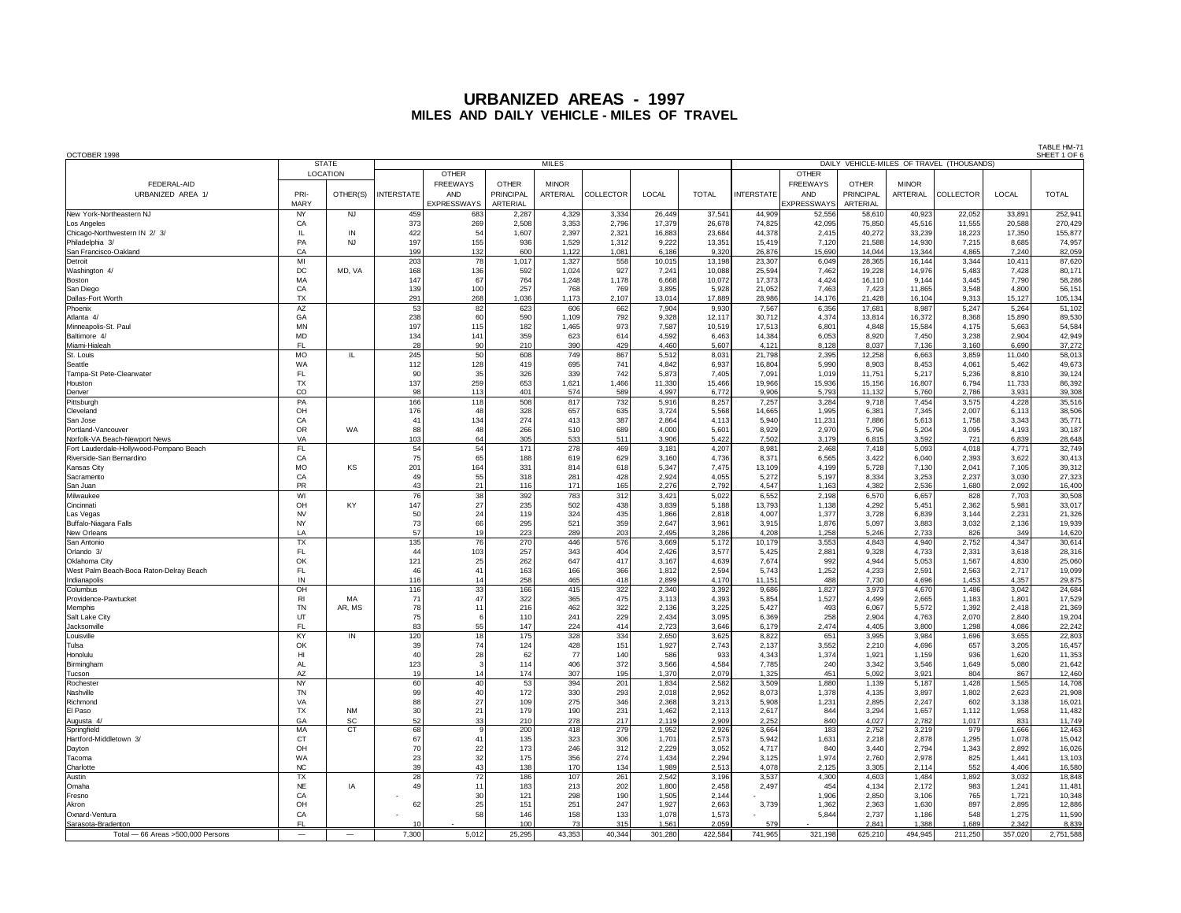| OCTOBER 1998<br>DAILY VEHICLE-MILES OF TRAVEL (THOUSANDS)           |                          |                 |                   |                        |                           |                          |              |                |                 |                   |                        |                           | I ADLE FINH /<br>SHEET 1 OF |                  |                |                  |
|---------------------------------------------------------------------|--------------------------|-----------------|-------------------|------------------------|---------------------------|--------------------------|--------------|----------------|-----------------|-------------------|------------------------|---------------------------|-----------------------------|------------------|----------------|------------------|
|                                                                     | <b>STATE</b>             |                 |                   |                        |                           | <b>MILES</b>             |              |                |                 |                   |                        |                           |                             |                  |                |                  |
|                                                                     |                          | <b>LOCATION</b> |                   | <b>OTHER</b>           |                           |                          |              |                |                 |                   | <b>OTHER</b>           |                           |                             |                  |                |                  |
| FEDERAL-AID<br>URBANIZED AREA 1/                                    | PRI-                     | OTHER(S)        | <b>INTERSTATE</b> | <b>FREEWAYS</b><br>AND | <b>OTHER</b><br>PRINCIPAL | <b>MINOR</b><br>ARTERIAL | COLLECTOR    | LOCAL          | <b>TOTAL</b>    | <b>INTERSTATE</b> | <b>FREEWAYS</b><br>AND | <b>OTHER</b><br>PRINCIPAL | <b>MINOR</b><br>ARTERIAL    | <b>COLLECTOR</b> | LOCAL          | <b>TOTAL</b>     |
|                                                                     | MARY                     |                 |                   | <b>EXPRESSWAYS</b>     | ARTERIAL                  |                          |              |                |                 |                   | <b>EXPRESSWAYS</b>     | ARTERIAL                  |                             |                  |                |                  |
| New York-Northeastern NJ                                            | NY                       | <b>NJ</b>       | 459               | 683                    | 2,287                     | 4,329                    | 3,334        | 26,449         | 37,541          | 44.909            | 52,556                 | 58,610                    | 40,923                      | 22,052           | 33.891         | 252,94           |
| Los Angeles                                                         | CA                       |                 | 373               | 269                    | 2,508                     | 3,353                    | 2,796        | 17,379         | 26,678          | 74,825            | 42,095                 | 75,850                    | 45,516                      | 11,555           | 20,588         | 270,429          |
| Chicago-Northwestern IN 2/ 3/                                       | IL.                      | IN              | 422               | 54                     | 1,607                     | 2,397                    | 2,321        | 16,883         | 23,684          | 44,378            | 2,415                  | 40,272                    | 33,239                      | 18,223           | 17,350         | 155,877          |
| Philadelphia 3/                                                     | PA                       | <b>NJ</b>       | 197               | 155                    | 936                       | 1,529                    | 1,312        | 9,222          | 13,351          | 15,419            | 7,120                  | 21,588                    | 14,930                      | 7,215            | 8,685          | 74,957           |
| San Francisco-Oakland                                               | CA                       |                 | 199               | 132                    | 600                       | 1,122                    | 1,081        | 6,186          | 9,320           | 26,876            | 15,690                 | 14,044                    | 13,344                      | 4,865            | 7,240          | 82,059           |
| Detroit                                                             | MI                       |                 | 203               | 78                     | 1,017                     | 1,327                    | 558          | 10,015         | 13,198          | 23,307            | 6,049                  | 28,365                    | 16,144                      | 3,344            | 10,411         | 87,620           |
| Washington 4/                                                       | DC                       | MD, VA          | 168               | 136                    | 592                       | 1,024                    | 927          | 7,241          | 10,088          | 25,594            | 7,462                  | 19,228                    | 14,976                      | 5,483            | 7,428          | 80,171           |
| Boston<br>San Diego                                                 | MA<br>CA                 |                 | 147<br>139        | 67<br>100              | 764<br>257                | 1,248<br>768             | 1,178<br>769 | 6,668<br>3,895 | 10,072<br>5,928 | 17,373<br>21,052  | 4,424<br>7,463         | 16,110<br>7,423           | 9,144<br>11,865             | 3,445<br>3,548   | 7,790<br>4,800 | 58,286<br>56,151 |
| Dallas-Fort Worth                                                   | <b>TX</b>                |                 | 291               | 268                    | 1,036                     | 1,173                    | 2,107        | 13,014         | 17,889          | 28,986            | 14,176                 | 21,428                    | 16,104                      | 9,313            | 15,127         | 105,134          |
| Phoenix                                                             | AZ                       |                 | 53                | 82                     | 623                       | 606                      | 662          | 7,904          | 9,930           | 7,567             | 6,356                  | 17,681                    | 8,987                       | 5,247            | 5,264          | 51,102           |
| Atlanta 4/                                                          | GA                       |                 | 238               | 60                     | 590                       | 1,109                    | 792          | 9,328          | 12,117          | 30,712            | 4,374                  | 13,814                    | 16,372                      | 8,368            | 15,890         | 89,530           |
| Minneapolis-St. Paul                                                | <b>MN</b>                |                 | 197               | 115                    | 182                       | 1,465                    | 973          | 7,587          | 10,519          | 17,513            | 6,801                  | 4,848                     | 15,584                      | 4,175            | 5,663          | 54,584           |
| Baltimore 4                                                         | MD                       |                 | 134               | 141                    | 359                       | 623                      | 614          | 4,592          | 6,463           | 14,384            | 6,053                  | 8,920                     | 7,450                       | 3,238            | 2,904          | 42,949           |
| Miami-Hialeah                                                       | FL                       |                 | 28                | 90                     | 210                       | 390                      | 429          | 4.460          | 5,607           | 4.121             | 8,128                  | 8.037                     | 7.136                       | 3.160            | 6,690          | 37,272           |
| St. Louis                                                           | <b>MO</b>                | Ш.              | 245               | 50                     | 608                       | 749                      | 867          | 5,512          | 8,031           | 21,798            | 2,395                  | 12,258                    | 6,663                       | 3,859            | 11,040         | 58,013           |
| Seattle<br>Tampa-St Pete-Clearwater                                 | <b>WA</b><br>FL          |                 | 112<br>90         | 128<br>35              | 419<br>326                | 695<br>339               | 741<br>742   | 4,842<br>5,873 | 6,937<br>7,405  | 16,804<br>7,091   | 5,990<br>1,019         | 8,903                     | 8,453<br>5,217              | 4,061<br>5,236   | 5,462<br>8,810 | 49,673           |
| Houston                                                             | TX                       |                 | 137               | 259                    | 653                       | 1,621                    | 1,466        | 11,330         | 15,466          | 19,966            | 15,936                 | 11,751<br>15,156          | 16,807                      | 6,794            | 11,733         | 39,124<br>86,392 |
| Denver                                                              | $_{\rm CO}$              |                 | 98                | 113                    | 401                       | 574                      | 589          | 4,997          | 6,772           | 9,906             | 5,793                  | 11,132                    | 5,760                       | 2,786            | 3,931          | 39,308           |
| Pittsburgh                                                          | PA                       |                 | 166               | 118                    | 508                       | 817                      | 732          | 5,916          | 8,257           | 7,257             | 3,284                  | 9,718                     | 7,454                       | 3,575            | 4,228          | 35,516           |
| Cleveland                                                           | OH                       |                 | 176               | 48                     | 328                       | 657                      | 635          | 3,724          | 5,568           | 14,665            | 1,995                  | 6,381                     | 7,345                       | 2,007            | 6,113          | 38,506           |
| San Jose                                                            | CA                       |                 | 41                | 134                    | 274                       | 413                      | 387          | 2,864          | 4,113           | 5,940             | 11,231                 | 7,886                     | 5,613                       | 1,758            | 3,343          | 35,771           |
| Portland-Vancouver                                                  | OR                       | WA              | 88                | 48                     | 266                       | 510                      | 689          | 4,000          | 5,601           | 8,929             | 2,970                  | 5,796                     | 5,204                       | 3,095            | 4,193          | 30,187           |
| Norfolk-VA Beach-Newport News                                       | VA                       |                 | 103               | 64                     | 305                       | 533                      | 511          | 3,906          | 5,422           | 7,502             | 3,179                  | 6,815                     | 3,592                       | 721              | 6,839          | 28,648           |
| Fort Lauderdale-Hollywood-Pompano Beach<br>Riverside-San Bernardino | FL                       |                 | 54                | 54<br>65               | 171                       | 278                      | 469          | 3,181          | 4,207           | 8,981             | 2,468                  | 7,418                     | 5,093                       | 4,018            | 4,771          | 32,749           |
| Kansas City                                                         | CA<br>MO                 | KS              | 75<br>201         | 164                    | 188<br>331                | 619<br>814               | 629<br>618   | 3,160<br>5,347 | 4,736<br>7,475  | 8,371<br>13,109   | 6,565<br>4,199         | 3,422<br>5,728            | 6,040<br>7,130              | 2,393<br>2,041   | 3,622<br>7,105 | 30,413<br>39,312 |
| Sacramento                                                          | CA                       |                 | 49                | 55                     | 318                       | 281                      | 428          | 2.924          | 4.055           | 5.272             | 5.197                  | 8.334                     | 3.253                       | 2.237            | 3.030          | 27,323           |
| San Juan                                                            | PR                       |                 | 43                | 21                     | 116                       | 171                      | 165          | 2,276          | 2,792           | 4,547             | 1,163                  | 4,382                     | 2,536                       | 1,680            | 2,092          | 16,400           |
| Milwaukee                                                           | WI                       |                 | 76                | 38                     | 392                       | 783                      | 312          | 3,421          | 5,022           | 6,552             | 2,198                  | 6,570                     | 6,657                       | 828              | 7,703          | 30,508           |
| Cincinnati                                                          | OH                       | KY              | 147               | 27                     | 235                       | 502                      | 438          | 3,839          | 5,188           | 13,793            | 1,138                  | 4,292                     | 5,451                       | 2,362            | 5,981          | 33,017           |
| Las Vegas                                                           | <b>NV</b>                |                 | 50                | 24                     | 119                       | 324                      | 435          | 1,866          | 2,818           | 4,007             | 1,377                  | 3,728                     | 6,839                       | 3,144            | 2,231          | 21,326           |
| Buffalo-Niagara Falls                                               | <b>NY</b>                |                 | 73                | 66                     | 295                       | 521                      | 359          | 2,647          | 3,961           | 3,915             | 1,876                  | 5,097                     | 3,883                       | 3,032            | 2,136          | 19,939           |
| New Orleans                                                         | LA<br>TX                 |                 | 57<br>135         | 19<br>$\overline{76}$  | 223<br>270                | 289<br>446               | 203<br>576   | 2,495<br>3,669 | 3,286<br>5,172  | 4,208<br>10,179   | 1,258<br>3,553         | 5,246<br>4,843            | 2,733<br>4,940              | 826<br>2,752     | 349<br>4,347   | 14,620<br>30,614 |
| San Antonio<br>Orlando 3/                                           | FL                       |                 | 44                | 103                    | 257                       | 343                      | 404          | 2,426          | 3,577           | 5,425             | 2,881                  | 9,328                     | 4,733                       | 2,331            | 3,618          | 28,316           |
| <b>Oklahoma City</b>                                                | OK                       |                 | 121               | 25                     | 262                       | 647                      | 417          | 3,167          | 4,639           | 7,674             | 992                    | 4,944                     | 5,053                       | 1,567            | 4,830          | 25,060           |
| West Palm Beach-Boca Raton-Delray Beach                             | FL                       |                 | 46                | 41                     | 163                       | 166                      | 366          | 1,812          | 2,594           | 5,743             | 1,252                  | 4,233                     | 2,59                        | 2,563            | 2,717          | 19,099           |
| Indianapolis                                                        | IN                       |                 | 116               | 14                     | 258                       | 465                      | 418          | 2,899          | 4,170           | 11,151            | 488                    | 7,730                     | 4,696                       | 1,453            | 4,357          | 29,875           |
| Columbus                                                            | OH                       |                 | 116               | 33                     | 166                       | 415                      | 322          | 2,340          | 3,392           | 9,686             | 1,827                  | 3,973                     | 4,670                       | 1,486            | 3,042          | 24,684           |
| Providence-Pawtucket                                                | R1                       | MA              | 71                | 47                     | 322                       | 365                      | 475          | 3,113          | 4,393           | 5,854             | 1,527                  | 4,499                     | 2,665                       | 1,183            | $1,80^{\circ}$ | 17,529           |
| Memphis                                                             | TN                       | AR. MS          | 78                | 11                     | 216                       | 462                      | 322          | 2,136          | 3,225           | 5,427             | 493                    | 6,067                     | 5,572                       | 1,392            | 2,418          | 21,369           |
| Salt Lake City<br>Jacksonville                                      | UT<br>FL.                |                 | 75<br>83          | 6<br>55                | 110<br>147                | 241<br>224               | 229<br>414   | 2,434<br>2.723 | 3,095<br>3.646  | 6,369<br>6.179    | 258<br>2.474           | 2,904<br>4.405            | 4,763<br>3,800              | 2,070<br>1.298   | 2,840<br>4.086 | 19,204<br>22,242 |
| Louisville                                                          | KY                       | IN              | 120               | 18                     | 175                       | 328                      | 334          | 2,650          | 3,625           | 8,822             | 651                    | 3,995                     | 3,984                       | 1,696            | 3,655          | 22,803           |
| Tulsa                                                               | OK                       |                 | 39                | 74                     | 124                       | 428                      | 151          | 1,927          | 2.743           | 2.137             | 3,552                  | 2,210                     | 4,696                       | 657              | 3.205          | 16,457           |
| Honolulu                                                            | H                        |                 | 40                | 28                     | 62                        | 77                       | 140          | 586            | 933             | 4,343             | 1,374                  | 1,921                     | 1,159                       | 936              | 1,620          | 11,353           |
| Birmingham                                                          | <b>AL</b>                |                 | 123               | 3                      | 114                       | 406                      | 372          | 3,566          | 4,584           | 7,785             | 240                    | 3,342                     | 3,546                       | 1,649            | 5.080          | 21,642           |
| Tucson                                                              | AZ                       |                 | 19                | 14                     | 174                       | 307                      | 195          | 1,370          | 2,079           | 1,325             | 451                    | 5,092                     | 3,921                       | 804              | 867            | 12,460           |
| Rocheste                                                            | NY                       |                 | 60                | 40 <sup>1</sup>        | 53                        | 394                      | 201          | 1,834          | 2,582           | 3,509             | 1,880                  | 1,139                     | 5,187                       | 1,428            | 1,565          | 14,708           |
| Nashville<br>Richmond                                               | TN<br>VA                 |                 | 99<br>88          | 40<br>27               | 172<br>109                | 330<br>275               | 293<br>346   | 2,018<br>2,368 | 2,952<br>3,213  | 8,073<br>5,908    | 1,378<br>1,231         | 4,135<br>2,895            | 3,897<br>2,247              | 1,802<br>602     | 2,623<br>3,138 | 21,908<br>16,021 |
| El Paso                                                             | TX                       | <b>NM</b>       | 30                | 21                     | 179                       | 190                      | 231          | 1,462          | 2,113           | 2,617             | 844                    | 3,294                     | 1,657                       | 1,112            | 1,958          | 11,482           |
| Augusta 4                                                           | GA                       | SC              | 52                | 33                     | 210                       | 278                      | 217          | 2,119          | 2,909           | 2,252             | 840                    | 4,027                     | 2,782                       | 1,017            | 831            | 11,749           |
| Springfield                                                         | ΜA                       | <b>CT</b>       | 68                | 9                      | 200                       | 418                      | 279          | 1,952          | 2,926           | 3,664             | 183                    | 2,752                     | 3,219                       | 979              | 1,666          | 12,463           |
| Hartford-Middletown 3/                                              | <b>CT</b>                |                 | 67                | 41                     | 135                       | 323                      | 306          | 1,701          | 2,573           | 5,942             | 1,631                  | 2,218                     | 2,878                       | 1,295            | 1,078          | 15,042           |
| Dayton                                                              | OH                       |                 | 70                | 22                     | 173                       | 246                      | 312          | 2,229          | 3,052           | 4,717             | 840                    | 3,440                     | 2,794                       | 1,343            | 2,892          | 16,026           |
| Tacoma                                                              | <b>WA</b>                |                 | 23                | 32                     | 175                       | 356                      | 274          | 1.434          | 2.294           | 3.125             | 1.974                  | 2.760                     | 2.978                       | 825              | 1.441          | 13,103           |
| Charlotte                                                           | NC                       |                 | 39                | 43                     | 138                       | 170                      | 134          | 1,989          | 2,513           | 4,078             | 2,125                  | 3,305                     | 2,114                       | 552              | 4.406          | 16,580           |
| Austin                                                              | <b>TX</b>                |                 | 28                | 72                     | 186                       | 107                      | 261          | 2,542          | 3,196           | 3,537             | 4,300                  | 4,603                     | 1,484                       | 1,892            | 3,032          | 18,848           |
| Omaha<br>Eresno                                                     | $N\mathsf{E}$<br>CA      | ΙA              | 49                | 11<br>30               | 183<br>121                | 213<br>298               | 202<br>190   | 1,800<br>1,505 | 2,458<br>2,144  | 2,497             | 454<br>1,906           | 4,134<br>2,850            | 2,172<br>3,106              | 983<br>765       | 1,241<br>1,721 | 11,481<br>10,348 |
| Akron                                                               | OH                       |                 | 62                | 25                     | 151                       | 251                      | 247          | 1,927          | 2,663           | 3,739             | 1,362                  | 2,363                     | 1,630                       | 897              | 2,895          | 12,886           |
| Oxnard-Ventura                                                      | CA                       |                 |                   | 58                     | 146                       | 158                      | 133          | 1,078          | 1,573           |                   | 5,844                  | 2,737                     | 1,186                       | 548              | 1,275          | 11,590           |
| Sarasota-Bradenton                                                  | FL                       |                 | 10                |                        | 100                       | 73                       | 315          | 1,561          | 2,059           | 579               |                        | 2,841                     | 1,388                       | 1,689            | 2,342          | 8,839            |
| Total - 66 Areas > 500,000 Persons                                  | $\overline{\phantom{0}}$ |                 | 7.300             | 5.012                  | 25.295                    | 43.353                   | 40.344       | 301.280        | 422.584         | 741.965           | 321.198                | 625.210                   | 494.945                     | 211.250          | 357.020        | 2.751.588        |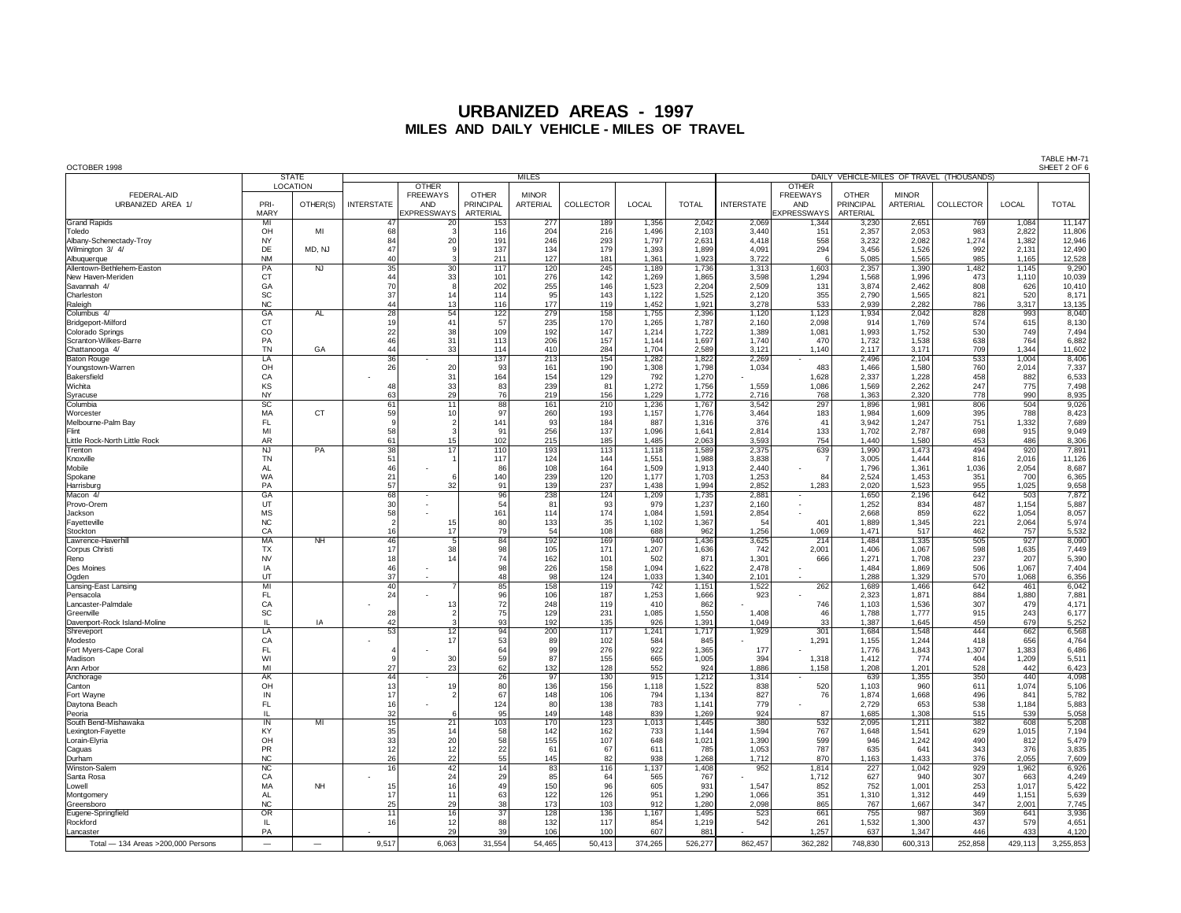| OCTOBER 1998                                    |                        |                             |                       |                                                                     |                                              |                          |                         |                |                |                   |                                                                     |                                              |                          |                                           |                | TABLE HM-7<br>SHEET 2 OF 6 |
|-------------------------------------------------|------------------------|-----------------------------|-----------------------|---------------------------------------------------------------------|----------------------------------------------|--------------------------|-------------------------|----------------|----------------|-------------------|---------------------------------------------------------------------|----------------------------------------------|--------------------------|-------------------------------------------|----------------|----------------------------|
|                                                 |                        | <b>STATE</b>                |                       |                                                                     |                                              | <b>MILES</b>             |                         |                |                |                   |                                                                     |                                              |                          | DAILY VEHICLE-MILES OF TRAVEL (THOUSANDS) |                |                            |
| FEDERAL-AID<br>URBANIZED AREA 1/                | PRI-<br>MARY           | <b>LOCATION</b><br>OTHER(S) | <b>INTERSTATE</b>     | <b>OTHER</b><br><b>FREEWAYS</b><br><b>AND</b><br><b>EXPRESSWAYS</b> | <b>OTHER</b><br><b>PRINCIPAL</b><br>ARTERIAL | <b>MINOR</b><br>ARTERIAL | COLLECTOR               | LOCAL          | <b>TOTAL</b>   | <b>INTERSTATE</b> | <b>OTHER</b><br><b>FREEWAYS</b><br><b>AND</b><br><b>EXPRESSWAYS</b> | <b>OTHER</b><br><b>PRINCIPAL</b><br>ARTERIAL | <b>MINOR</b><br>ARTERIAL | <b>COLLECTOR</b>                          | LOCAL          | <b>TOTAL</b>               |
| <b>Grand Rapids</b>                             | MI<br>OH               | MI                          | 47<br>68              | 20<br>$\mathbf{B}$                                                  | 153<br>116                                   | 277<br>204               | 189<br>216              | 1,356<br>1,496 | 2,042          | 2,069             | 1,344<br>151                                                        | 3,230<br>2,357                               | 2,651<br>2,053           | 769<br>983                                | 1,084<br>2,822 | 11,147                     |
| Toledo<br>Albany-Schenectady-Troy               | <b>NY</b>              |                             | 84                    | 20                                                                  | 191                                          | 246                      | 293                     | 1,797          | 2,103<br>2,631 | 3,440<br>4,418    | 558                                                                 | 3,232                                        | 2,082                    | 1,274                                     | 1,382          | 11,806<br>12,946           |
| Wilmington 3/4/                                 | DE                     | MD, NJ                      | 47                    | $\mathbf{q}$                                                        | 137                                          | 134                      | 179                     | 1,393          | 1,899          | 4,091             | 294                                                                 | 3,456                                        | 1,526                    | 992                                       | 2,131          | 12,490                     |
| Albuquerque                                     | <b>NM</b>              |                             | 40                    | $\mathbf{B}$                                                        | 211                                          | 127                      | 181                     | 1,361          | 1,923          | 3,722             | -6                                                                  | 5,085                                        | 1,565                    | 985                                       | 1,165          | 12,528                     |
| Allentown-Bethlehem-Easton<br>New Haven-Meriden | PA<br><b>CT</b>        | NJ                          | $\overline{35}$<br>44 | $\overline{30}$<br>33                                               | 117<br>101                                   | 120<br>276               | 245<br>142              | 1,189<br>1.269 | 1,736<br>1.865 | 1,313<br>3,598    | 1,603<br>1.294                                                      | 2,357<br>1,568                               | 1,390<br>1.996           | 1,482<br>473                              | 1,145<br>1,110 | 9,290<br>10,039            |
| Savannah 4/                                     | GA                     |                             | 70                    | $\mathbf{8}$                                                        | 202                                          | 255                      | 146                     | 1,523          | 2,204          | 2,509             | 131                                                                 | 3,874                                        | 2,462                    | 808                                       | 626            | 10,410                     |
| Charleston                                      | SC                     |                             | 37                    | 14                                                                  | 114                                          | 95                       | 143                     | 1.122          | 1.525          | 2.120             | 355                                                                 | 2.790                                        | 1.565                    | 821                                       | 520            | 8,171                      |
| Raleigh                                         | <b>NC</b>              |                             | 44                    | 13                                                                  | 116                                          | 177                      | 119                     | 1,452          | 1,921          | 3,278             | 533                                                                 | 2,939                                        | 2,282                    | 786                                       | 3,317          | 13,135                     |
| Columbus 4/<br>Bridgeport-Milford               | GA<br>CT               | AL                          | 28<br>19              | 54<br>41                                                            | 122<br>57                                    | 279<br>235               | 158<br>170              | 1,755<br>1,265 | 2,396<br>1,787 | 1,120<br>2,160    | 1,123<br>2.098                                                      | 1,934<br>914                                 | 2,042<br>1,769           | 828<br>574                                | 993<br>615     | 8,040<br>8,130             |
| Colorado Springs                                | $_{\rm CO}$            |                             | 22                    | 38                                                                  | 109                                          | 192                      | 147                     | 1,214          | 1,722          | 1,389             | 1,081                                                               | 1,993                                        | 1,752                    | 530                                       | 749            | 7,494                      |
| Scranton-Wilkes-Barre                           | PA                     |                             | 46                    | 31                                                                  | 113                                          | 206                      | 157                     | 1,144          | 1,697          | 1,740             | 470                                                                 | 1,732                                        | 1,538                    | 638                                       | 764            | 6,882                      |
| Chattanooga 4/                                  | <b>TN</b>              | GA                          | 44                    | 33                                                                  | 114                                          | 410                      | 284                     | 1,704          | 2,589          | 3,121             | 1,140                                                               | 2,117                                        | 3,171                    | 709                                       | 1,344          | 11,602                     |
| <b>Baton Rouge</b><br>Youngstown-Warren         | LA<br>OH               |                             | 36<br>26              | 20                                                                  | 137<br>93                                    | 213<br>161               | 154<br>190              | 1,282<br>1,308 | 1,822<br>1,798 | 2,269<br>1,034    | 483                                                                 | 2,496<br>1,466                               | 2,104<br>1,580           | 533<br>760                                | 1,004<br>2,014 | 8,406<br>7,337             |
| Bakersfield                                     | CA                     |                             |                       | 31                                                                  | 164                                          | 154                      | 129                     | 792            | 1,270          |                   | 1,628                                                               | 2,337                                        | 1,228                    | 458                                       | 882            | 6,533                      |
| Wichita                                         | KS                     |                             | 48                    | 33                                                                  | 83                                           | 239                      | 81                      | 1,272          | 1,756          | 1,559             | 1,086                                                               | 1,569                                        | 2,262                    | 247                                       | 775            | 7,498                      |
| Syracuse                                        | NY                     |                             | 63                    | 29                                                                  | 76                                           | 219                      | 156                     | 1,229          | 1,772          | 2.716             | 768                                                                 | 1,363                                        | 2,320                    | 778                                       | 990            | 8,935                      |
| Columbia<br>Worcester                           | $\overline{sc}$<br>MA  | <b>CT</b>                   | 61<br>59              | 11<br>10                                                            | 88<br>97                                     | 161<br>260               | $\overline{210}$<br>193 | 1,236<br>1,157 | 1,767<br>1,776 | 3,542<br>3,464    | 297<br>183                                                          | 1,896<br>1,984                               | 1,981<br>1,609           | 806<br>395                                | 504<br>788     | 9,026<br>8,423             |
| Melbourne-Palm Bay                              | FL.                    |                             | 9                     | $\overline{2}$                                                      | 141                                          | 93                       | 184                     | 887            | 1,316          | 376               | 41                                                                  | 3,942                                        | 1,247                    | 751                                       | 1,332          | 7,689                      |
| Flint                                           | MI                     |                             | 58                    | $\mathbf{3}$                                                        | 91                                           | 256                      | 137                     | 1,096          | 1,641          | 2,814             | 133                                                                 | 1,702                                        | 2,787                    | 698                                       | 915            | 9,049                      |
| Little Rock-North Little Rock                   | AR                     |                             | 61                    | 15                                                                  | 102                                          | 215                      | 185                     | 1,485          | 2,063          | 3,593             | 754                                                                 | 1,440                                        | 1,580                    | 453                                       | 486            | 8,306                      |
| Trenton<br>Knoxville                            | NJ<br>TN               | PA                          | 38<br>51              | 17<br>$\overline{1}$                                                | 110<br>117                                   | 193<br>124               | 113<br>144              | 1,118<br>1,551 | 1,589<br>1,988 | 2,375<br>3,838    | 639<br>$\overline{7}$                                               | 1,990<br>3,005                               | 1,473<br>1,444           | 494<br>816                                | 920<br>2,016   | 7,891<br>11,126            |
| Mobile                                          | <b>AL</b>              |                             | 46                    |                                                                     | 86                                           | 108                      | 164                     | 1,509          | 1,913          | 2,440             |                                                                     | 1,796                                        | 1,361                    | 1,036                                     | 2,054          | 8,687                      |
| Spokane                                         | <b>WA</b>              |                             | 21                    | $\epsilon$                                                          | 140                                          | 239                      | 120                     | 1,177          | 1,703          | 1,253             | 84                                                                  | 2,524                                        | 1,453                    | 351                                       | 700            | 6,365                      |
| Harrisburg<br>Macon $4$                         | PA                     |                             | 57                    | 32                                                                  | 91                                           | 139                      | 237                     | 1.438          | 1.994          | 2.852             | 1.283                                                               | 2.020                                        | 1.523                    | 955                                       | 1,025<br>503   | 9,658                      |
| Provo-Orem                                      | GA<br>UT               |                             | 68<br>30              | $\overline{\phantom{a}}$                                            | 96<br>54                                     | 238<br>81                | 124<br>93               | 1,209<br>979   | 1,735<br>1,237 | 2,881<br>2,160    | $\overline{\phantom{a}}$                                            | 1,650<br>1,252                               | 2,196<br>834             | 642<br>487                                | 1,154          | 7,872<br>5,887             |
| Jackson                                         | <b>MS</b>              |                             | 58                    |                                                                     | 161                                          | 114                      | 174                     | 1.084          | 1.591          | 2,854             |                                                                     | 2.668                                        | 859                      | 622                                       | 1.054          | 8,057                      |
| Fayetteville                                    | <b>NC</b>              |                             | $\overline{2}$        | 15                                                                  | 80                                           | 133                      | 35                      | 1,102          | 1,367          | 54                | 401                                                                 | 1,889                                        | 1,345                    | 221                                       | 2,064          | 5,974                      |
| Stockton<br>Lawrence-Haverhill                  | CA<br>MA               | <b>NH</b>                   | 16<br>46              | 17<br>5                                                             | 79<br>84                                     | 54<br>192                | 108<br>169              | 688<br>940     | 962<br>1,436   | 1,256             | 1,069<br>214                                                        | 1,471<br>1,484                               | 517                      | 462<br>505                                | 757<br>927     | 5,532<br>8,090             |
| Corpus Christi                                  | TX                     |                             | 17                    | 38                                                                  | 98                                           | 105                      | 171                     | 1,207          | 1,636          | 3,625<br>742      | 2,001                                                               | 1,406                                        | 1,335<br>1,067           | 598                                       | 1,635          | 7,449                      |
| Reno                                            | <b>NV</b>              |                             | 18                    | 14                                                                  | 74                                           | 162                      | 101                     | 502            | 871            | 1,301             | 666                                                                 | 1,271                                        | 1,708                    | 237                                       | 207            | 5,390                      |
| Des Moines                                      | IA                     |                             | 46                    |                                                                     | 98                                           | 226                      | 158                     | 1,094          | 1,622          | 2,478             |                                                                     | 1,484                                        | 1,869                    | 506                                       | 1,067          | 7,404                      |
| Ogden<br>Lansing-East Lansing                   | UТ<br>MI               |                             | 37<br>40              |                                                                     | 48<br>85                                     | 98<br>158                | 124<br>119              | 1,033<br>742   | 1,340<br>1,151 | 2,101<br>1,522    | 262                                                                 | 1,288<br>1,689                               | 1,329<br>1,466           | 570<br>642                                | 1,068<br>461   | 6,356<br>6,042             |
| Pensacola                                       | FL                     |                             | 24                    |                                                                     | 96                                           | 106                      | 187                     | 1,253          | 1,666          | 923               |                                                                     | 2,323                                        | 1,871                    | 884                                       | 1,880          | 7,881                      |
| Lancaster-Palmdale                              | CA                     |                             |                       | 13                                                                  | 72                                           | 248                      | 119                     | 410            | 862            |                   | 746                                                                 | 1.103                                        | 1,536                    | 307                                       | 479            | 4,171                      |
| Greenville                                      | SC                     |                             | 28                    | $\mathfrak{p}$                                                      | 75                                           | 129                      | 231                     | 1,085          | 1,550          | 1,408             | 46                                                                  | 1,788                                        | 1,777                    | 915                                       | 243            | 6,177                      |
| Davenport-Rock Island-Moline<br>Shreveport      | $\mathbf{H}$<br>LA     | IA                          | 42<br>53              | 3<br>12                                                             | 93<br>94                                     | 192<br>200               | 135<br>117              | 926<br>1,241   | 1,391<br>1,717 | 1.049<br>1,929    | 33<br>301                                                           | 1,387<br>1,684                               | 1,645<br>1,548           | 459<br>444                                | 679<br>662     | 5,252<br>6,568             |
| Modesto                                         | CA                     |                             |                       | 17                                                                  | 53                                           | 89                       | 102                     | 584            | 845            |                   | 1,291                                                               | 1,155                                        | 1,244                    | 418                                       | 656            | 4,764                      |
| Fort Myers-Cape Coral                           | FL                     |                             |                       |                                                                     | 64                                           | 99                       | 276                     | 922            | 1,365          | 177               |                                                                     | 1,776                                        | 1,843                    | 1,307                                     | 1,383          | 6,486                      |
| Madison                                         | WI<br>MI               |                             | $\mathsf{Q}$<br>27    | 30                                                                  | 59<br>62                                     | 87                       | 155<br>128              | 665<br>552     | 1,005<br>924   | 394<br>1,886      | 1,318                                                               | 1,412                                        | 774                      | 404<br>528                                | 1,209<br>442   | 5,511                      |
| Ann Arbor<br>Anchorage                          | <b>AK</b>              |                             | 44                    | 23                                                                  | 26                                           | 132<br>97                | 130                     | 915            | 1,212          | 1,314             | 1,158<br>$\overline{\phantom{a}}$                                   | 1,208<br>639                                 | 1,201<br>1,355           | 350                                       | 440            | 6,423<br>4,098             |
| Canton                                          | OH                     |                             | 13                    | 19                                                                  | 80                                           | 136                      | 156                     | 1,118          | 1,522          | 838               | 520                                                                 | 1,103                                        | 960                      | 611                                       | 1,074          | 5,106                      |
| Fort Wayne                                      | IN                     |                             | 17                    | $\mathcal{P}$                                                       | 67                                           | 148                      | 106                     | 794            | 1,134          | 827               | 76                                                                  | 1,874                                        | 1,668                    | 496                                       | 841            | 5,782                      |
| Daytona Beach<br>Peoria                         | FL<br>IL               |                             | 16<br>32              | 6                                                                   | 124<br>95                                    | 80<br>149                | 138<br>148              | 783<br>839     | 1.141<br>1,269 | 779<br>924        | 87                                                                  | 2,729<br>1,685                               | 653<br>1,308             | 538<br>515                                | 1,184<br>539   | 5,883<br>5,058             |
| South Bend-Mishawaka                            | $\overline{1}N$        | MI                          | 15                    | $\overline{21}$                                                     | 103                                          | 170                      | 123                     | 1,013          | 1,445          | 380               | 532                                                                 | 2,095                                        | 1,211                    | 382                                       | 608            | 5,208                      |
| Lexington-Fayette                               | KY                     |                             | 35                    | 14                                                                  | 58                                           | 142                      | 162                     | 733            | 1,144          | 1,594             | 767                                                                 | 1,648                                        | 1,541                    | 629                                       | 1,015          | 7,194                      |
| Lorain-Elyria                                   | OH                     |                             | 33                    | 20                                                                  | 58                                           | 155                      | 107                     | 648            | 1,021          | 1,390             | 599                                                                 | 946                                          | 1,242                    | 490                                       | 812            | 5,479                      |
| Caguas<br>Durham                                | PR<br><b>NC</b>        |                             | 12<br>26              | 12<br>22                                                            | 22<br>55                                     | 61<br>145                | 67<br>82                | 611<br>938     | 785<br>1,268   | 1,053<br>1,712    | 787<br>870                                                          | 635<br>1,163                                 | 641<br>1,433             | 343<br>376                                | 376<br>2,055   | 3,835<br>7,609             |
| Winston-Salem                                   | NC                     |                             | 16                    | 42                                                                  | 14                                           | 83                       | 116                     | 1,137          | 1,408          | 952               | 1,814                                                               | 227                                          | 1,042                    | 929                                       | 1,962          | 6,926                      |
| Santa Rosa                                      | CA                     |                             |                       | 24                                                                  | 29                                           | 85                       | 64                      | 565            | 767            |                   | 1,712                                                               | 627                                          | 940                      | 307                                       | 663            | 4,249                      |
| Lowell                                          | MA                     | <b>NH</b>                   | 15                    | 16                                                                  | 49                                           | 150                      | 96                      | 605            | 931            | 1,547             | 852                                                                 | 752                                          | 1,001                    | 253                                       | 1,017          | 5,422                      |
| Montgomery<br>Greensboro                        | <b>AL</b><br><b>NC</b> |                             | 17<br>25              | 11<br>29                                                            | 63<br>38                                     | 122<br>173               | 126<br>103              | 951<br>912     | 1,290<br>1,280 | 1.066<br>2,098    | 351<br>865                                                          | 1.310<br>767                                 | 1,312<br>1,667           | 449<br>347                                | 1,151<br>2,001 | 5,639<br>7,745             |
| Eugene-Springfield                              | OR                     |                             | 11                    | 16                                                                  | $\overline{37}$                              | 128                      | 136                     | 1,167          | 1.495          | 523               | 661                                                                 | 755                                          | 987                      | 369                                       | 641            | 3,936                      |
| Rockford                                        | IL                     |                             | 16                    | 12                                                                  | 88                                           | 132                      | 117                     | 854            | 1,219          | 542               | 261                                                                 | 1,532                                        | 1,300                    | 437                                       | 579            | 4,651                      |
| Lancaster                                       | PA                     |                             |                       | 29                                                                  | 39                                           | 106                      | 100                     | 607            | 881            |                   | 1,257                                                               | 637                                          | 1,347                    | 446                                       | 433            | 4,120                      |
| Total - 134 Areas > 200,000 Persons             |                        |                             | 9.517                 | 6.063                                                               | 31.554                                       | 54.465                   | 50.413                  | 374.265        | 526.277        | 862.457           | 362.282                                                             | 748.830                                      | 600.313                  | 252.858                                   | 429.113        | 3,255,853                  |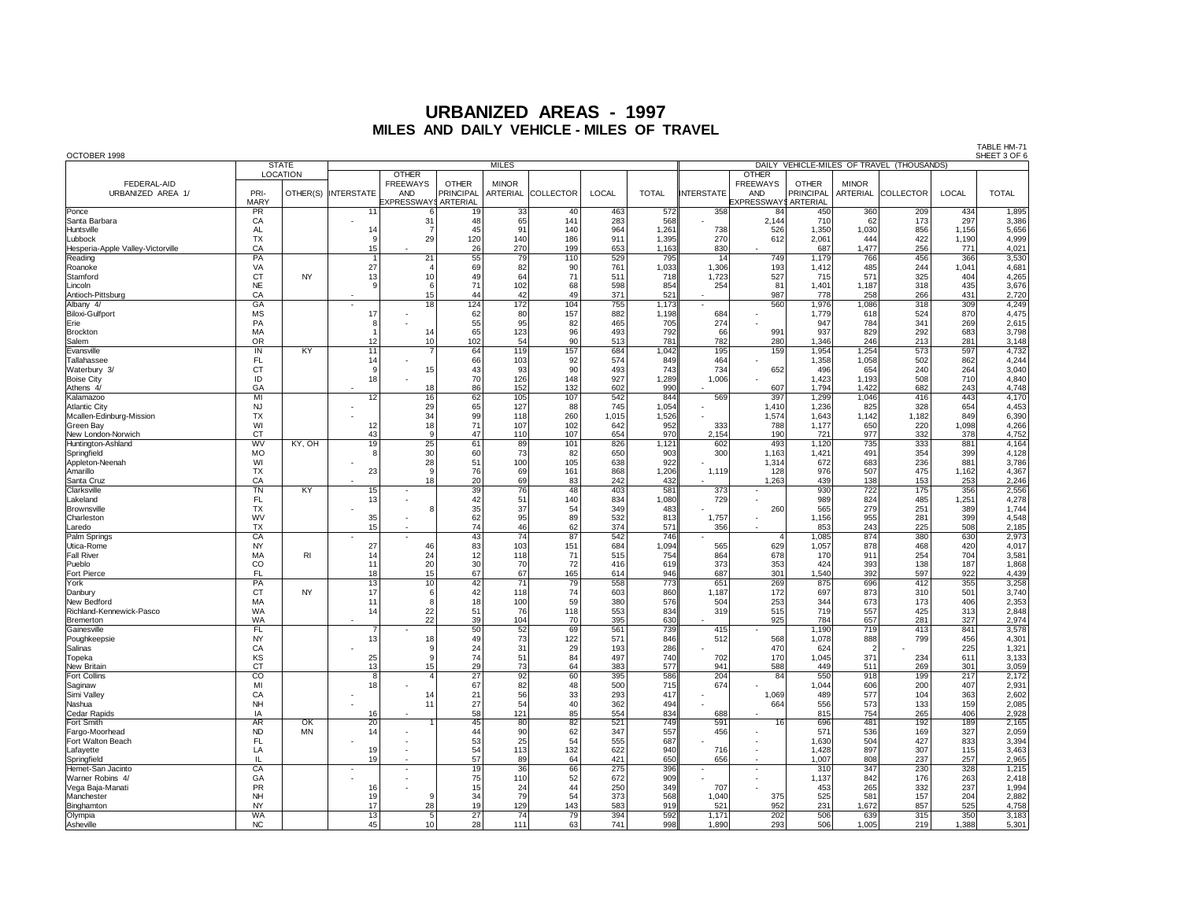OCTOBER 1998 SHEET 3 OF 6 STATE THE MILES MILES DAILY VEHICLE-MILES OF TRAVEL (THOUSANDS) LOCATION | | OTHER | | | | | | | | | | OTHER FEDERAL-AID FREEWAYS OTHER MINOR FREEWAYS OTHER MINOR URBANIZED AREA 1/ | PRI- |OTHER(S) |INTERSTATE | AND |PRINCIPAL |ARTERIAL |COLLECTOR | LOCAL | TOTAL |INTERSTATE | AND |PRINCIPAL |ARTERIAL |COLLECTOR | LOCAL | TOTAL MARY EXPRESSWAYSARTERIAL EXPRESSWAYSARTERIAL Ponce PR 11 6 19 33 40 463 572 358 84 450 360 209 434 1,895 Santa Barbara CA - 31 48 65 141 283 568 - 2,144 710 62 173 297 3,386 Huntsville AL 14 7 45 91 140 964 1,261 738 526 1,350 1,030 856 1,156 5,656 Lubbock TX 9 29 120 140 186 911 1,395 270 612 2,061 444 422 1,190 4,999 Hesperia-Apple Valley-Victorville CA 15 - 26 270 199 653 1,163 830 - 687 1,477 256 771 4,021 Reading PA 1 21 55 79 110 529 795 14 749 1,179 766 456 366 3,530 Roanoke VA 27 4 69 82 90 761 1,033 1,306 193 1,412 485 244 1,041 4,681 Stamford CT NY 13 10 49 64 71 511 718 1,723 527 715 571 325 404 4,265 Lincoln | NE | | 9| 6| 71| 102| 68| 598| 854| 254| 81| 1,401| 1,187| 318| 435| 3,676 Antioch-Pittsburg CA - 15 44 42 49 371 521 - 987 778 258 266 431 2,720 Albany 4/ GA - 18 124 172 104 755 1,173 - 560 1,976 1,086 318 309 4,249 Biloxi-Gulfport | MS | | 17 | - | 62 | 80 | 157 | 882 | 1,198 | 684 | - | 1,779 | 618 | 524 | 870 | 4,475 Erie PA 8 - 55 95 82 465 705 274 - 947 784 341 269 2,615 Brockton MA 1 14 65 123 96 493 792 66 991 937 829 292 683 3,798 Salem OR 12 10 102 54 90 513 781 782 280 1,346 246 213 281 3,148 Evansville IN KY 11 7 64 119 157 684 1,042 195 159 1,954 1,254 573 597 4,732 Tallahassee FL 14 - 66 103 92 574 849 464 - 1,358 1,058 502 862 4,244 Waterbury 3/ CT 9 15 43 93 90 493 743 734 652 496 654 240 264 3,040 Boise City ID 18 - 70 126 148 927 1,289 1,006 - 1,423 1,193 508 710 4,840 Athens 4/ GA - 18 86 152 132 602 990 - 607 1,794 1,422 682 243 4,748 Kalamazoo MI 12 16 62 105 107 542 844 569 397 1,299 1,046 416 443 4,170 Atlantic City | NJ | | - | 29| 65| 127| 88| 745| 1,054|| - | 1,410| 1,236| 825| 328| 654| 4,453 Mcallen-Edinburg-Mission | TX | | - | 34| 99| 118| 260| 1,015| 1,526|| - | 1,574| 1,643| 1,142| 1,182| 849| 6,390 Green Bay WI 12 18 71 107 102 642 952 333 788 1,177 650 220 1,098 4,266 New London-Norwich CT 43 9 47 110 107 654 970 2,154 190 721 977 332 378 4,752 Huntington-Ashland | WV | KY, OH | 19| 25| 61| 89| 101| 826| 1,121| 602| 493| 1,120| 735| 333| 881| 4,164 Springfield | MO | | 8| 30| 60| 73| 82| 650| 903|| 300| 1,163| 1,421| 491| 354| 399| 4,128 Appleton-Neenah WI - 28 51 100 105 638 922 - 1,314 672 683 236 881 3,786 Amarillo TX 23 9 76 69 161 868 1,206 1,119 128 976 507 475 1,162 4,367 Santa Cruz CA - 18 20 69 83 242 432 - 1,263 439 138 153 253 2,246 Clarksville TN KY 15 - 39 76 48 403 581 373 - 930 722 175 356 2,556 Lakeland FL 13 - 42 51 140 834 1,080 729 - 989 824 485 1,251 4,278 Brownsville TX - 8 35 37 54 349 483 - 260 565 279 251 389 1,744 Charleston | WV | | 35| - | 62| 95| 89| 532| 813|| 1,757| - | 1,156| 955| 281| 399| 4,548 Laredo TX 15 - 74 46 62 374 571 356 - 853 243 225 508 2,185 Palm Springs CA - - 43 74 87 542 746 - 4 1,085 874 380 630 2,973 Utica-Rome | NY | | 27| 46| 83| 103| 151| 684| 1,094|| 565| 629| 1,057| 878| 468| 420| 4,017 Fall River | MA | RI | 14| 24| 12| 118| 71| 515| 754| 678| 170| 911| 254| 704| 3,581 Pueblo | CO | | 11 | 20 | 30 | 70 | 72 | 416 | 619 | 373 | 353 | 424 | 393 | 138 | 187 | 1,868 Fort Pierce | FL | | 18| 15| 67| 67| 165| 614| 946|| 687| 301| 1,540| 392| 597| 922| 4,439 York PA 13 10 42 71 79 558 773 651 269 875 696 412 355 3,258 Danbury CT NY 17 6 42 118 74 603 860 1,187 172 697 873 310 501 3,740 New Bedford MA 11 8 18 100 59 380 576 504 253 344 673 173 406 2,353 Richland-Kennewick-Pasco WA 14 22 51 76 118 553 834 319 515 719 557 425 313 2,848 Bremerton WA - 22 39 104 70 395 630 - 925 784 657 281 327 2,974 Gainesville FL 7 - 50 52 69 561 739 415 - 1,190 719 413 841 3,578 Poughkeepsie NY 13 18 49 73 122 571 846 512 568 1,078 888 799 456 4,301 Salinas CA - 9 24 31 29 193 286 - 470 624 2 - 225 1,321 Topeka | KS | | 25| 9| 74| 51| 84| 497| 740| 702| 170| 1,045| 371| 234| 611| 3,133 New Britain CT 13 15 29 73 64 383 577 941 588 449 511 269 301 3,059 Fort Collins 8 | 4 | 27 | 92 | 60 | 395 | 586 | 204 | 84 | 550 | 918 | 199 | 217 | 2,172 Saginaw MI 18 - 67 82 48 500 715 674 - 1,044 606 200 407 2,931 Simi Valley CA - 14 21 56 33 293 417 - 1,069 489 577 104 363 2,602 Nashua NH - 11 27 54 40 362 494 - 664 556 573 133 159 2,085 Cedar Rapids IA 16 - 58 121 85 554 834 688 - 815 754 265 406 2,928 Fort Smith | AR | OK | 20| 1| 45| 80| 82| 749|| 591| 16| 696| 481| 192| 189| 2,165 Fargo-Moorhead ND MN 14 - 44 90 62 347 557 456 - 571 536 169 327 2,059 Fort Walton Beach | FL | | - | - 53 | 25 | 54 | 687 || - | - | 1,630 | 504 | 427 | 833 | 3,394 Lafayette LA 19 - 54 113 132 622 940 716 - 1,428 897 307 115 3,463 Springfield IL 19 - 57 89 64 421 650 656 - 1,007 808 237 257 2,965 Hemet-San Jacinto CA - - 19 36 66 275 396 - - 310 347 230 328 1,215 Warner Robins 4/ | GA | | - | - | 75| 110| 52| 672| 909|| - | - | 1,137| 842| 176| 263| 2,418 Vega Baja-Manati PR 16 - 15 24 44 250 349 707 - 453 265 332 237 1,994 Manchester | NH | | | 19| 9| 34| 79| 54| 373| 568| 1,040| 375| 525| 581| 157| 204| 2,882 Binghamton NY 17 28 19 129 143 583 919 521 952 231 1,672 857 525 4,758 Olympia | WA | | 13 | 5 | 27 | 74 | 79 | 394 | 1,171 | 202 | 506 | 639 | 315 | 350 | 3,183 Asheville NC 45 10 28 111 63 741 998 1,890 293 506 1,005 219 1,388 5,301

TABLE HM-71<br>SHEET 3 OF 6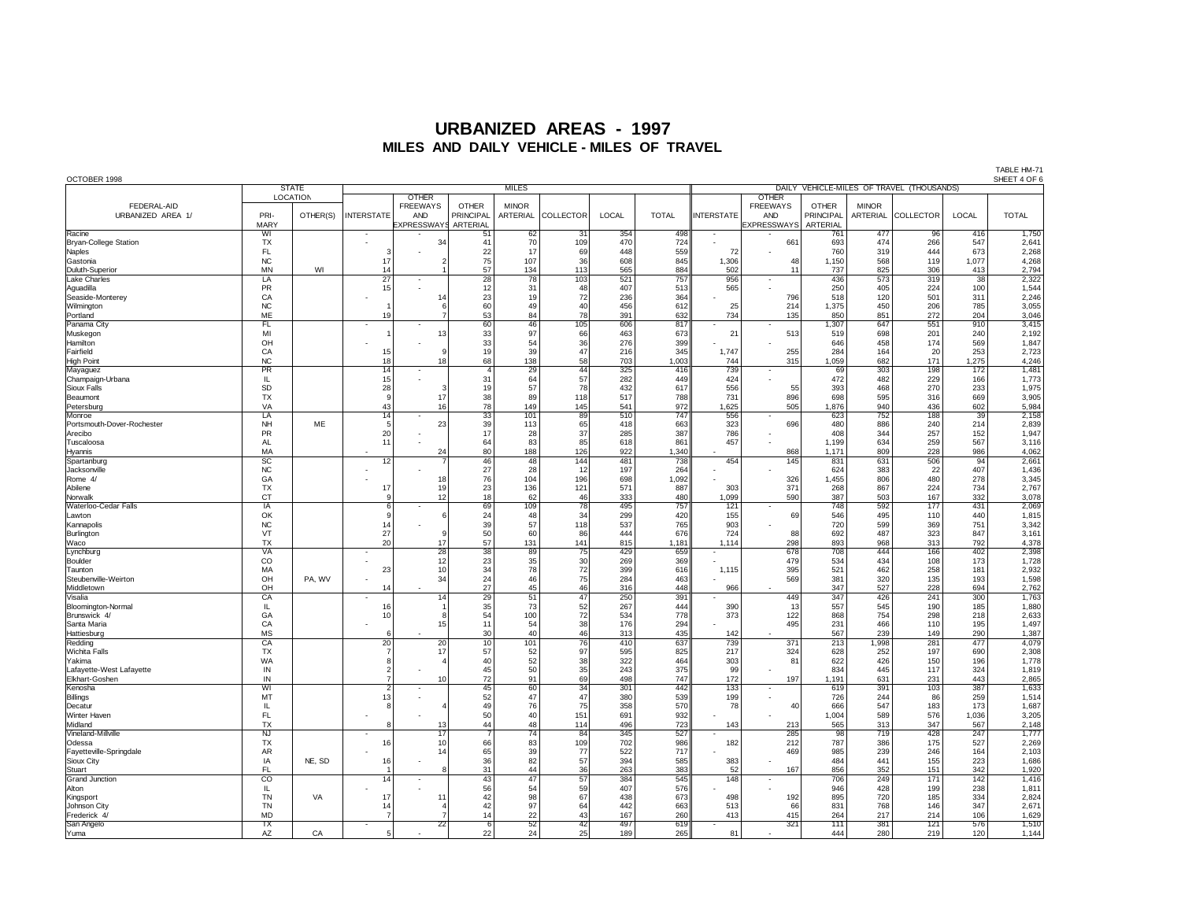| OCTOBER 1998               |                         | <b>STATE</b> |                          |                          |                 |                 |                                           |       | SHEET 4 OF 6 |                          |                          |              |              |            |                 |              |  |
|----------------------------|-------------------------|--------------|--------------------------|--------------------------|-----------------|-----------------|-------------------------------------------|-------|--------------|--------------------------|--------------------------|--------------|--------------|------------|-----------------|--------------|--|
|                            |                         |              |                          | <b>MILES</b>             |                 |                 | DAILY VEHICLE-MILES OF TRAVEL (THOUSANDS) |       |              |                          |                          |              |              |            |                 |              |  |
|                            | LOCATION                |              |                          | <b>OTHER</b>             |                 |                 |                                           |       |              |                          | <b>OTHER</b>             |              |              |            |                 |              |  |
| FEDERAL-AID                |                         |              |                          | <b>FREEWAYS</b>          | <b>OTHER</b>    | <b>MINOR</b>    |                                           |       |              |                          | <b>FREEWAYS</b>          | <b>OTHER</b> | <b>MINOR</b> |            |                 |              |  |
| URBANIZED AREA 1/          | PRI-                    | OTHER(S)     | <b>INTERSTATE</b>        | AND                      | PRINCIPAL       | ARTERIAL        | COLLECTOR                                 | LOCAL | <b>TOTAL</b> | <b>INTERSTATE</b>        | <b>AND</b>               | PRINCIPAL    | ARTERIAL     | COLLECTOR  | LOCAL           | <b>TOTAL</b> |  |
|                            | <b>MARY</b>             |              |                          | EXPRESSWAYS              | ARTERIAL        |                 |                                           |       |              |                          | <b>EXPRESSWAYS</b>       | ARTERIAL     |              |            |                 |              |  |
| Racine                     | WI                      |              |                          |                          | 51              | 62              | 31                                        | 354   | 498          |                          |                          | 761          | 477          | 96         | 416             | 1,750        |  |
| Bryan-College Station      | <b>TX</b>               |              |                          | 34                       | 41              | 70              | 109                                       | 470   | 724          |                          | 661                      | 693          | 474          | 266        | 547             | 2,641        |  |
| Naples                     | FL.                     |              | э                        |                          | 22              | 17              | 69                                        | 448   | 559          | 72                       |                          | 760          | 319          | 444        | 673             | 2,268        |  |
| Gastonia                   | <b>NC</b>               |              | 17                       | 2                        | 75              | 107             | 36                                        | 608   | 845          | 1,306                    | 48                       | 1,150        | 568          | 119        | 1,077           | 4,268        |  |
| Duluth-Superior            | <b>MN</b>               | WI           | 14                       |                          | 57              | 134             | 113                                       | 565   | 884          | 502                      | 11                       | 737          | 825          | 306        | 413             | 2,794        |  |
|                            | $\overline{LA}$         |              | $\overline{27}$          | $\overline{\phantom{a}}$ | $\overline{28}$ | $\overline{78}$ | 103                                       | 521   | 757          | 956                      |                          | 436          | 573          | 319        | $\overline{38}$ | 2,322        |  |
| Lake Charles               | PR                      |              |                          |                          | 12              | 31              | 48                                        | 407   | 513          | 565                      | $\overline{\phantom{a}}$ | 250          | 405          | 224        | 100             | 1,544        |  |
| Aguadilla                  |                         |              | 15                       |                          |                 |                 |                                           |       |              |                          |                          |              |              |            |                 |              |  |
| Seaside-Monterey           | CA                      |              |                          | 14                       | 23              | 19              | 72                                        | 236   | 364          |                          | 796                      | 518          | 120          | 501        | 311             | 2,246        |  |
| Wilmington                 | NC                      |              |                          | 6                        | 60              | 49              | 40                                        | 456   | 612          | 25                       | 214                      | 1,375        | 450          | 206        | 785             | 3,055        |  |
| Portland                   | ME                      |              | 19                       | 7                        | 53              | 84              | 78                                        | 391   | 632          | 734                      | 135                      | 850          | 851          | 272        | 204             | 3,046        |  |
| Panama City                | FL                      |              |                          |                          | 60              | 46              | 105                                       | 606   | 817          | $\overline{\phantom{a}}$ |                          | 1,307        | 647          | 551        | 910             | 3,415        |  |
| Muskegon                   | MI                      |              |                          | 13                       | 33              | 97              | 66                                        | 463   | 673          | 21                       | 513                      | 519          | 698          | 201        | 240             | 2,192        |  |
| Hamilton                   | OH                      |              |                          |                          | 33              | 54              | 36                                        | 276   | 399          |                          |                          | 646          | 458          | 174        | 569             | 1,847        |  |
| Fairfield                  | CA                      |              | 15                       | 9                        | 19              | 39              | 47                                        | 216   | 345          | 1,747                    | 255                      | 284          | 164          | 20         | 253             | 2,723        |  |
| <b>High Point</b>          | <b>NC</b>               |              | 18                       | 18                       | 68              | 138             | 58                                        | 703   | 1,003        | 744                      | 315                      | 1,059        | 682          | 171        | 1,275           | 4,246        |  |
| Mayaguez                   | PR                      |              | 14                       |                          | $\mathbf{4}$    | 29              | 44                                        | 325   | 416          | 739                      | $\overline{\phantom{a}}$ | 69           | 303          | 198        | 172             | 1,481        |  |
| Champaign-Urbana           | IL.                     |              | 15                       |                          | 31              | 64              | 57                                        | 282   | 449          | 424                      |                          | 472          | 482          | 229        | 166             | 1,773        |  |
| Sioux Falls                | SD                      |              | 28                       | 3                        | 19              | 57              | 78                                        | 432   | 617          | 556                      | 55                       | 393          | 468          | 270        | 233             | 1,975        |  |
| Beaumont                   | <b>TX</b>               |              | <b>s</b>                 | 17                       | 38              | 89              | 118                                       | 517   | 788          | 731                      | 896                      | 698          | 595          | 316        | 669             | 3,905        |  |
| Petersburg                 | VA                      |              | 43                       | 16                       | 78              | 149             | 145                                       | 541   | 972          | 1,625                    | 505                      | 1,876        | 940          | 436        | 602             | 5,984        |  |
| Monroe                     | LA                      |              | 14                       |                          | $\overline{33}$ | 101             | 89                                        | 510   | 747          | 556                      |                          | 623          | 752          | 188        | 39              | 2,158        |  |
| Portsmouth-Dover-Rochester | NH                      | <b>ME</b>    | $\overline{5}$           | 23                       | 39              | 113             | 65                                        | 418   | 663          | 323                      | 696                      | 480          | 886          | 240        | 214             | 2,839        |  |
| Arecibo                    | <b>PR</b>               |              | 20                       |                          | 17              | 28              | 37                                        | 285   | 387          | 786                      |                          | 408          | 344          | 257        | 152             | 1,947        |  |
| Tuscaloosa                 | <b>AL</b>               |              | 11                       |                          | 64              | 83              | 85                                        | 618   | 861          | 457                      |                          | 1,199        | 634          | 259        | 567             | 3,116        |  |
| Hyannis                    | MA                      |              |                          | 24                       | 80              | 188             | 126                                       | 922   | 1.340        |                          | 868                      | 1,171        | 809          | 228        | 986             | 4,062        |  |
| Spartanburg                | $\overline{SC}$         |              | 12                       |                          | 46              | 48              | 144                                       | 481   | 738          | 454                      | 145                      | 831          | 631          | 506        | 94              | 2,661        |  |
| Jacksonville               | NC                      |              |                          |                          | 27              | 28              | 12                                        | 197   | 264          |                          |                          | 624          | 383          | 22         | 407             | 1,436        |  |
|                            |                         |              |                          |                          | 76              |                 |                                           |       |              |                          |                          |              |              | 480        |                 | 3,345        |  |
| Rome 4/                    | GA                      |              |                          | 18                       | 23              | 104             | 196                                       | 698   | 1,092        |                          | 326                      | 1,455        | 806          |            | 278             |              |  |
| Abilene                    | <b>TX</b>               |              | 17                       | 19 <sup>1</sup>          |                 | 136             | 121                                       | 571   | 887          | 303                      | 371                      | 268          | 867          | 224        | 734             | 2,767        |  |
| Norwalk                    | CT                      |              | c                        | 12                       | 18              | 62              | 46                                        | 333   | 480          | 1,099                    | 590                      | 387          | 503          | 167        | 332             | 3,078        |  |
| Waterloo-Cedar Falls       | IA                      |              | 6                        |                          | 69              | 109             | 78                                        | 495   | 757          | 121                      |                          | 748          | 592          | 177        | 431             | 2,069        |  |
| Lawton                     | OK                      |              | ç                        | 6                        | 24              | 48              | 34                                        | 299   | 420          | 155                      | 69                       | 546          | 495          | 110        | 440             | 1,815        |  |
| Kannapolis                 | NC                      |              | 14                       |                          | 39              | 57              | 118                                       | 537   | 765          | 903                      |                          | 720          | 599          | 369        | 751             | 3,342        |  |
| Burlington                 | VT                      |              | 27                       | 9                        | 50              | 60              | 86                                        | 444   | 676          | 724                      | 88                       | 692          | 487          | 323        | 847             | 3,161        |  |
| Waco                       | <b>TX</b>               |              | 20                       | 17                       | 57              | 131             | 141                                       | 815   | 1,181        | 1,114                    | 298                      | 893          | 968          | 313        | 792             | 4,378        |  |
| Lynchburg                  | VA                      |              |                          | $\overline{28}$          | $\overline{38}$ | 89              | $\overline{75}$                           | 429   | 659          | $\overline{\phantom{a}}$ | 678                      | 708          | 444          | 166        | 402             | 2,398        |  |
| Boulder                    | CO                      |              |                          | 12                       | 23              | 35              | 30                                        | 269   | 369          |                          | 479                      | 534          | 434          | 108        | 173             | 1,728        |  |
| Taunton                    | MA                      |              | 23                       | 10                       | 34              | 78              | 72                                        | 399   | 616          | 1,115                    | 395                      | 521          | 462          | 258        | 181             | 2,932        |  |
| Steubenville-Weirton       | OH                      | PA, WV       |                          | 34                       | 24              | 46              | 75                                        | 284   | 463          |                          | 569                      | 381          | 320          | 135        | 193             | 1,598        |  |
| Middletown                 | OH                      |              | 14                       |                          | 27              | 45              | 46                                        | 316   | 448          | 966                      |                          | 347          | 527          | 228        | 694             | 2,762        |  |
| Visalia                    | CA                      |              |                          | 14                       | $\overline{29}$ | 51              | 47                                        | 250   | 391          |                          | 449                      | 347          | 426          | 241        | 300             | 1,763        |  |
| Bloomington-Normal         | IL                      |              | 16                       |                          | 35              | 73              | 52                                        | 267   | 444          | 390                      | 13                       | 557          | 545          | 190        | 185             | 1,880        |  |
| Brunswick 4/               | GA                      |              | 10                       | $\mathbf{a}$             | 54              | 100             | $72\,$                                    | 534   | 778          | 373                      | 122                      | 868          | 754          | 298        | 218             | 2,633        |  |
| Santa Maria                | CA                      |              |                          | 15                       | 11              | 54              | 38                                        | 176   | 294          |                          | 495                      | 231          | 466          | 110        | 195             | 1,497        |  |
| Hattiesburg                | MS                      |              |                          |                          | 30              | 40              | 46                                        | 313   | 435          | 142                      |                          | 567          | 239          | 149        | 290             | 1,387        |  |
| Redding                    | CA                      |              | 20                       | 20                       | 10              | 101             | 76                                        | 410   | 637          | 739                      | 371                      | 213          | 1,998        | 281        | 477             | 4,079        |  |
| Wichita Falls              | TX                      |              | $\overline{7}$           | 17                       | 57              | 52              | 97                                        | 595   | 825          | 217                      | 324                      | 628          | 252          | 197        | 690             | 2,308        |  |
| lYakima                    | WA                      |              | ε                        |                          | 40              | 52              | 38                                        | 322   | 464          | 303                      | 81                       | 622          | 426          | 150        | 196             | 1,778        |  |
| Lafayette-West Lafayette   | $\sf IN$                |              | $\overline{\phantom{a}}$ |                          | 45              | 50              | 35                                        | 243   | 375          | 99                       |                          | 834          | 445          | 117        | 324             | 1,819        |  |
| Elkhart-Goshen             | IN                      |              | $\overline{7}$           | 10                       | 72              | 91              | 69                                        | 498   | 747          | 172                      | 197                      | 1,191        | 631          | 231        | 443             | 2,865        |  |
| Kenosha                    | WI                      |              | $\overline{2}$           |                          | 45              | 60              | 34                                        | 301   | 442          | 133                      | $\overline{\phantom{a}}$ | 619          | 391          | 103        | 387             | 1,633        |  |
| Billings                   | MT                      |              | 13                       |                          | 52              | 47              | 47                                        | 380   | 539          | 199                      |                          | 726          | 244          | 86         | 259             | 1,514        |  |
|                            |                         |              | ε                        |                          | 49              | 76              | 75                                        | 358   | 570          |                          |                          | 666          | 547          |            |                 |              |  |
| Decatur<br>Winter Haven    | IL.<br>FL               |              |                          |                          | 50              |                 | 151                                       | 691   | 932          | 78                       | 40                       |              |              | 183<br>576 | 173             | 1,687        |  |
|                            |                         |              |                          |                          |                 | 40              |                                           |       |              |                          |                          | 1,004        | 589          |            | 1,036           | 3,205        |  |
| Midland                    | <b>TX</b>               |              | я                        | 13                       | 44              | 48              | 114                                       | 496   | 723          | 143                      | 213                      | 565          | 313          | 347        | 567             | 2,148        |  |
| Vineland-Millville         | $\overline{\mathsf{N}}$ |              |                          | $\overline{17}$          |                 | $\overline{74}$ | 84                                        | 345   | 527          |                          | 285                      | 98           | 719          | 428        | 247             | 1,777        |  |
| Odessa                     | <b>TX</b>               |              | 16                       | 10                       | 66              | 83              | 109                                       | 702   | 986          | 182                      | 212                      | 787          | 386          | 175        | 527             | 2,269        |  |
| Fayetteville-Springdale    | AR                      |              |                          | 14                       | 65              | 39              | 77                                        | 522   | 717          |                          | 469                      | 985          | 239          | 246        | 164             | 2,103        |  |
| Sioux City                 | IA                      | NE, SD       | 16                       |                          | 36              | 82              | 57                                        | 394   | 585          | 383                      |                          | 484          | 441          | 155        | 223             | 1,686        |  |
| Stuart                     | FL                      |              |                          |                          | 31              | 44              | 36                                        | 263   | 383          | 52                       | 167                      | 856          | 352          | 151        | 342             | 1,920        |  |
| Grand Junction             | $\overline{co}$         |              | 14                       |                          | 43              | 47              | 57                                        | 384   | 545          | 148                      |                          | 706          | 249          | 171        | 142             | 1,416        |  |
| Alton                      | IL.                     |              |                          |                          | 56              | 54              | 59                                        | 407   | 576          |                          |                          | 946          | 428          | 199        | 238             | 1,811        |  |
| Kingsport                  | <b>TN</b>               | VA           | 17                       | 11                       | 42              | 98              | 67                                        | 438   | 673          | 498                      | 192                      | 895          | 720          | 185        | 334             | 2,824        |  |
| Johnson City               | <b>TN</b>               |              | 14                       |                          | 42              | 97              | 64                                        | 442   | 663          | 513                      | 66                       | 831          | 768          | 146        | 347             | 2,671        |  |
| Frederick 4                | <b>MD</b>               |              | $\overline{7}$           |                          | 14              | 22              | 43                                        | 167   | 260          | 413                      | 415                      | 264          | 217          | 214        | 106             | 1,629        |  |
| San Angelo                 | $\overline{TX}$         |              |                          | $\overline{22}$          | 6               | 52              | 42                                        | 497   | 619          |                          | 321                      | 111          | 381          | 121        | 576             | 1,510        |  |
| Yuma                       | AZ                      | CA           | 5                        |                          | 22              | 24              | 25                                        | 189   | 265          | 81                       |                          | 444          | 280          | 219        | 120             | 1,144        |  |
|                            |                         |              |                          |                          |                 |                 |                                           |       |              |                          |                          |              |              |            |                 |              |  |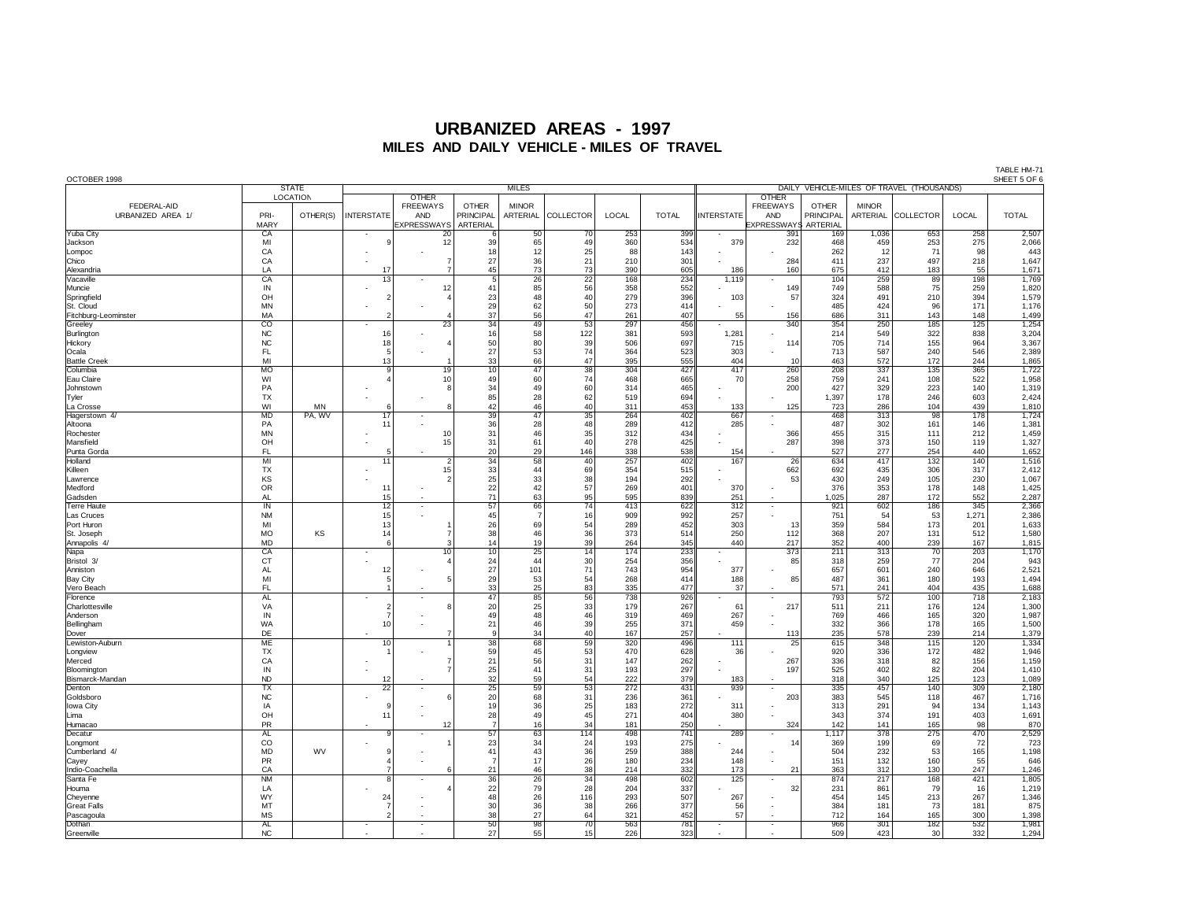| OCTOBER 1998         |                 | <b>STATE</b> |                          |                    |                 |                 |                 |            |              |                          |                                           |                  |              |           |            | SHEET 5 OF 6 |
|----------------------|-----------------|--------------|--------------------------|--------------------|-----------------|-----------------|-----------------|------------|--------------|--------------------------|-------------------------------------------|------------------|--------------|-----------|------------|--------------|
|                      |                 |              |                          | <b>MILES</b>       |                 |                 |                 |            |              |                          | DAILY VEHICLE-MILES OF TRAVEL (THOUSANDS) |                  |              |           |            |              |
|                      |                 | LOCATION     |                          | <b>OTHER</b>       |                 |                 |                 |            |              |                          | <b>OTHER</b>                              |                  |              |           |            |              |
| FEDERAL-AID          |                 |              |                          | <b>FREEWAYS</b>    | <b>OTHER</b>    | <b>MINOR</b>    |                 |            |              |                          | <b>FREEWAYS</b>                           | <b>OTHER</b>     | <b>MINOR</b> |           |            |              |
| URBANIZED AREA 1/    | PRI-            | OTHER(S)     | <b>INTERSTATE</b>        | <b>AND</b>         | PRINCIPAL       | ARTERIAL        | COLLECTOR       | LOCAL      | <b>TOTAL</b> | <b>INTERSTATE</b>        | <b>AND</b>                                | <b>PRINCIPAL</b> | ARTERIAL     | COLLECTOR | LOCAL      | <b>TOTAL</b> |
|                      | <b>MARY</b>     |              |                          | <b>EXPRESSWAYS</b> | ARTERIAL        |                 |                 |            |              |                          | EXPRESSWAYS ARTERIAL                      |                  |              |           |            |              |
| Yuba City            | CA              |              | $\overline{\phantom{a}}$ | 20                 |                 | 50              | 70              | 253        | 399          |                          | 39 <sup>′</sup>                           | 169              | 1,036        | 653       | 258        | 2,507        |
| Jackson              | MI              |              |                          | 12                 | 39              | 65              | 49              | 360        | 534          | 379                      | 232                                       | 468              | 459          | 253       | 275        | 2,066        |
| Lompoc               | CA              |              |                          |                    | 18              | 12              | 25              | 88         | 143          |                          |                                           | 262              | 12           | 71        | 98         | 443          |
| Chico                | CA              |              |                          | $\overline{7}$     | 27              | 36              | 21              | 210        | 301          |                          | 284                                       | 411              | 237          | 497       | 218        | 1,647        |
| Alexandria           | LA              |              | 17                       | 7                  | 45              | 73              | 73              | 390        | 605          | 186                      | 160                                       | 675              | 412          | 183       | 55         | 1,671        |
| Vacaville            | CA              |              | 13                       |                    | $\overline{5}$  | $\overline{26}$ | $\overline{22}$ | 168        | 234          | 1,119                    |                                           | 104              | 259          | 89        | 198        | 1,769        |
| Muncie               | IN              |              |                          | 12                 | 41              | 85              | 56              | 358        | 552          |                          | 149                                       | 749              | 588          | 75        | 259        | 1,820        |
| Springfield          | OH              |              |                          |                    | 23              | 48              | 40              | 279        | 396          | 103                      | 57                                        | 324              | 491          | 210       | 394        | 1,579        |
| St. Cloud            | <b>MN</b>       |              |                          |                    | 29              | 62              | 50              | 273        | 414          |                          |                                           | 485              | 424          | 96        | 171        | 1,176        |
| Fitchburg-Leominster | MA              |              |                          |                    | 37              | 56              | 47              | 261        | 407          | 55                       | 156                                       | 686              | 311          | 143       | 148        | 1,499        |
| Greeley              | $\overline{c}$  |              |                          | 23                 | 34              | 49              | 53              | 297        | 456          |                          | 340                                       | 354              | 250          | 185       | 125        | 1,254        |
| Burlington           | NC              |              | 16                       |                    | 16              | 58              | 122             | 381        | 593          | 1,281                    |                                           | 214              | 549          | 322       | 838        | 3,204        |
| Hickory              | NC              |              | 18                       |                    |                 | 80              |                 | 506        | 697          | 715                      | 114                                       | 705              | 714          | 155       |            |              |
|                      | FL.             |              |                          |                    | 50<br>27        |                 | 39<br>74        |            |              |                          |                                           | 713              |              |           | 964<br>546 | 3,367        |
| Ocala                |                 |              | 5                        |                    |                 | 53              |                 | 364        | 523          | 303                      |                                           |                  | 587          | 240       |            | 2,389        |
| <b>Battle Creek</b>  | MI              |              | 13                       |                    | 33              | 66              | 47              | 395        | 555          | 404                      | 10                                        | 463              | 572          | 172       | 244        | 1,865        |
| Columbia             | <b>MO</b>       |              | q                        | 19                 | 10              | 47              | 38              | 304        | 427          | 417                      | 260                                       | 208              | 337          | 135       | 365        | 1,722        |
| Eau Claire           | WI              |              |                          | 10                 | 49              | 60              | 74              | 468        | 665          | 70                       | 258                                       | 759              | 241          | 108       | 522        | 1,958        |
| Johnstown            | PA              |              |                          |                    | 34              | 49              | 60              | 314        | 465          |                          | 200                                       | 427              | 329          | 223       | 140        | 1,319        |
| Tyler                | <b>TX</b>       |              |                          |                    | 85              | 28              | 62              | 519        | 694          |                          |                                           | 1,397            | 178          | 246       | 603        | 2,424        |
| La Crosse            | WI              | MN           |                          | 8                  | 42              | 46              | 40              | 311        | 453          | 133                      | 125                                       | 723              | 286          | 104       | 439        | 1,810        |
| Hagerstown 4/        | <b>MD</b>       | PA. WV       | 17                       |                    | 39              | 47              | 35              | 264        | 402          | 667                      |                                           | 468              | 313          | 98        | 178        | 1,724        |
| Altoona              | PA              |              | 11                       |                    | 36              | 28              | 48              | 289        | 412          | 285                      |                                           | 487              | 302          | 161       | 146        | 1,381        |
| Rochester            | <b>MN</b>       |              |                          | 10                 | 31              | 46              | 35              | 312        | 434          |                          | 366                                       | 455              | 315          | 111       | 212        | 1,459        |
| Mansfield            | OH              |              |                          | 15                 | 31              | 61              | 40              | 278        | 425          |                          | 287                                       | 398              | 373          | 150       | 119        | 1,327        |
| Punta Gorda          | FL              |              |                          |                    | 20              | 29              | 146             | 338        | 538          | 154                      |                                           | 527              | 277          | 254       | 440        | 1,652        |
| Holland              | $\overline{M}$  |              | 11                       | $\overline{2}$     | 34              | 58              | 40              | 257        | 402          | 167                      | 26                                        | 634              | 417          | 132       | 140        | 1,516        |
| Killeen              | TX              |              |                          | 15                 | 33              | 44              | 69              | 354        | 515          |                          | 662                                       | 692              | 435          | 306       | 317        | 2,412        |
| Lawrence             | KS              |              |                          | 2                  | 25              | 33              | 38              | 194        | 292          |                          | 53                                        | 430              | 249          | 105       | 230        | 1,067        |
| Medford              | <b>OR</b>       |              | 11                       |                    | 22              | 42              | 57              | 269        | 401          | 370                      |                                           | 376              | 353          | 178       | 148        | 1,425        |
| Gadsden              | <b>AL</b>       |              | 15                       |                    | 71              | 63              | 95              | 595        | 839          | 251                      |                                           | 1,025            | 287          | 172       | 552        | 2,287        |
| <b>Terre Haute</b>   | $\overline{N}$  |              | 12                       |                    | 57              | 66              | 74              | 413        | 622          | 312                      | $\overline{\phantom{a}}$                  | 921              | 602          | 186       | 345        | 2,366        |
| Las Cruces           | <b>NM</b>       |              | 15                       |                    | 45              | $\overline{7}$  | 16              | 909        | 992          | 257                      |                                           | 751              | 54           | 53        | 1,271      | 2,386        |
| Port Huron           | MI              |              | 13                       |                    | 26              | 69              | 54              | 289        | 452          | 303                      | 13                                        | 359              | 584          | 173       | 201        | 1,633        |
| St. Joseph           | <b>MO</b>       | KS           | 14                       |                    | 38              | 46              | 36              | 373        | 514          | 250                      | 112                                       | 368              | 207          | 131       | 512        | 1,580        |
| Annapolis 4/         | <b>MD</b>       |              |                          | 3                  | 14              | 19              | 39              | 264        | 345          | 440                      | 217                                       | 352              | 400          | 239       | 167        | 1,815        |
| Napa                 | CA              |              | $\overline{\phantom{a}}$ | 10                 | 10              | $\overline{25}$ | 14              | 174        | 233          | $\overline{\phantom{a}}$ | 373                                       | 211              | 313          | 70        | 203        | 1,170        |
| Bristol 3/           | <b>CT</b>       |              |                          |                    | 24              | 44              | 30              | 254        | 356          |                          | 85                                        | 318              | 259          | 77        | 204        | 943          |
| Anniston             | AL.             |              | 12                       |                    | 27              | 101             | 71              | 743        | 954          | 377                      |                                           | 657              | 601          | 240       | 646        | 2,521        |
| <b>Bay City</b>      | MI              |              |                          |                    | 29              | 53              | 54              | 268        | 414          | 188                      | 85                                        | 487              | 361          | 180       | 193        | 1,494        |
| Vero Beach           | FL              |              |                          |                    | 33              | 25              | 83              | 335        | 477          | 37                       |                                           | 571              | 241          | 404       | 435        | 1,688        |
| Florence             | AL              |              |                          |                    | 47              | 85              | 56              | 738        | 926          |                          |                                           | 793              | 572          | 100       | 718        | 2,183        |
| Charlottesville      | VA              |              |                          |                    | 20              | 25              | 33              | 179        | 267          | 61                       | 217                                       | 511              | 211          | 176       | 124        | 1,300        |
| Anderson             | IN              |              |                          |                    | 49              | 48              | 46              | 319        | 469          | 267                      |                                           | 769              | 466          | 165       | 320        | 1,987        |
| Bellingham           | WA              |              | 10                       |                    | 21              | 46              | 39              | 255        | 371          | 459                      |                                           | 332              | 366          | 178       | 165        | 1,500        |
| Dover                | DE              |              |                          |                    | q               | 34              | 40              | 167        | 257          |                          | 113                                       | 235              | 578          | 239       | 214        | 1,379        |
| Lewiston-Auburn      | <b>ME</b>       |              | 10                       |                    | 38              | 68              | 59              | 320        | 496          | 111                      | 25                                        | 615              | 348          | 115       | 120        | 1,334        |
| Longview             | <b>TX</b>       |              |                          |                    | 59              | 45              | 53              | 470        | 628          | 36                       |                                           | 920              | 336          | 172       | 482        | 1,946        |
| Merced               | CA              |              |                          |                    | 21              | 56              | 31              | 147        | 262          |                          | 267                                       | 336              | 318          | 82        | 156        | 1,159        |
| Bloomington          | IN              |              |                          |                    | 25              | 41              | 31              | 193        | 297          |                          | 197                                       | 525              | 402          | 82        | 204        | 1,410        |
| Bismarck-Mandan      | <b>ND</b>       |              | 12                       |                    | 32              | 59              | 54              | 222        | 379          | 183                      |                                           | 318              | 340          | 125       | 123        | 1,089        |
| Denton               | $\overline{TX}$ |              | 22                       |                    | $\overline{25}$ | 59              | 53              | 272        | 431          | 939                      |                                           | 335              | 457          | 140       | 309        | 2,180        |
| Goldsbord            | NC              |              |                          | ĥ                  | 20              | 68              | 31              | 236        | 361          |                          | 203                                       | 383              | 545          | 118       | 467        | 1,716        |
| Iowa City            | IA              |              | c                        |                    | 19              | 36              | 25              | 183        | 272          | 311                      |                                           | 313              | 291          | 94        | 134        | 1,143        |
| Lima                 | OH              |              | 11                       |                    | 28              | 49              | 45              | 271        | 404          | 380                      |                                           | 343              | 374          | 191       | 403        | 1,691        |
| Humacao              | PR              |              |                          | 12                 | $\overline{7}$  | 16              | 34              | 181        | 250          |                          | 324                                       | 142              | 141          | 165       | 98         | 870          |
| Decatur              | AL              |              |                          |                    | $\overline{57}$ | 63              | 114             | 498        | 741          | 289                      |                                           | 1,117            | 378          | 275       | 470        | 2,529        |
| Longmont             | CO              |              |                          |                    | 23              | 34              | 24              | 193        | 275          |                          | 14                                        | 369              | 199          | 69        | 72         | 723          |
| Cumberland 4/        | MD              | WV           |                          |                    | 41              | 43              | 36              | 259        | 388          | 244                      |                                           | 504              | 232          | 53        | 165        | 1,198        |
| Cayey                | PR              |              |                          |                    | $\overline{7}$  | 17              | 26              | 180        | 234          | 148                      |                                           | 151              | 132          | 160       | 55         | 646          |
| Indio-Coachella      | CA              |              |                          |                    | 21              | 46              | 38              | 214        | 332          | 173                      | 21                                        | 363              | 312          | 130       | 247        | 1,246        |
| Santa Fe             | <b>NM</b>       |              |                          |                    | 36              | $\overline{26}$ | 34              | 498        | 602          | 125                      |                                           | 874              | 217          | 168       | 421        | 1,805        |
| Houma                | LA              |              |                          |                    | 22              | 79              | 28              | 204        | 337          |                          | 32                                        | 231              | 861          | 79        | 16         | 1,219        |
| Cheyenne             | WY              |              | 24                       |                    | 48              | 26              | 116             | 293        | 507          | 267                      |                                           | 454              | 145          | 213       | 267        | 1,346        |
| <b>Great Falls</b>   | MT              |              |                          |                    | 30              | 36              | 38              | 266        | 377          | 56                       |                                           | 384              | 181          | 73        | 181        | 875          |
|                      | <b>MS</b>       |              |                          |                    | 38              | 27              | 64              | 321        | 452          | 57                       |                                           | 712              | 164          | 165       | 300        | 1,398        |
| Pascagoula           |                 |              |                          |                    | 50              | 98              | $\overline{70}$ |            | 781          | $\overline{\phantom{a}}$ | $\overline{\phantom{a}}$                  | 966              |              | 182       |            |              |
| Dothan               | AL<br><b>NC</b> |              |                          |                    | 27              | 55              |                 | 563<br>226 |              |                          |                                           | 509              | 301          | 30        | 532<br>332 | 1,981        |
| Greenville           |                 |              |                          |                    |                 |                 | 15              |            | 323          |                          |                                           |                  | 423          |           |            | 1,294        |